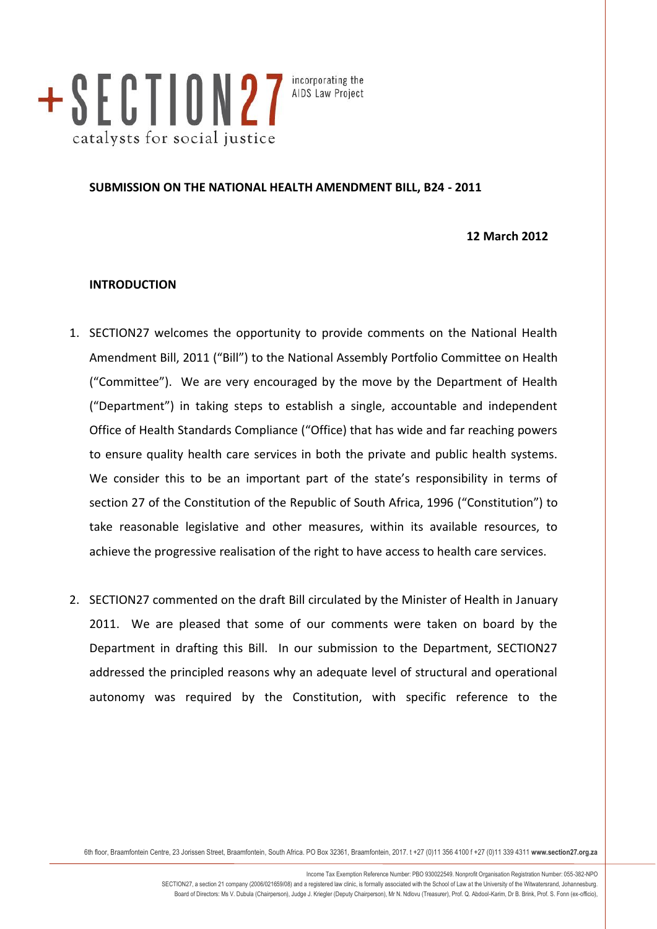

incorporating the AIDS Law Project

# **SUBMISSION ON THE NATIONAL HEALTH AMENDMENT BILL, B24 - 2011**

**12 March 2012**

### **INTRODUCTION**

- 1. SECTION27 welcomes the opportunity to provide comments on the National Health Amendment Bill, 2011 ("Bill") to the National Assembly Portfolio Committee on Health ("Committee"). We are very encouraged by the move by the Department of Health ("Department") in taking steps to establish a single, accountable and independent Office of Health Standards Compliance ("Office) that has wide and far reaching powers to ensure quality health care services in both the private and public health systems. We consider this to be an important part of the state's responsibility in terms of section 27 of the Constitution of the Republic of South Africa, 1996 ("Constitution") to take reasonable legislative and other measures, within its available resources, to achieve the progressive realisation of the right to have access to health care services.
- 2. SECTION27 commented on the draft Bill circulated by the Minister of Health in January 2011. We are pleased that some of our comments were taken on board by the Department in drafting this Bill. In our submission to the Department, SECTION27 addressed the principled reasons why an adequate level of structural and operational autonomy was required by the Constitution, with specific reference to the

6th floor, Braamfontein Centre, 23 Jorissen Street, Braamfontein, South Africa. PO Box 32361, Braamfontein, 2017. t +27 (0)11 356 4100 f +27 (0)11 339 4311 **www.section27.org.za**

Income Tax Exemption Reference Number: PBO 930022549. Nonprofit Organisation Registration Number: 055-382-NPO SECTION27, a section 21 company (2006/021659/08) and a registered law clinic, is formally associated with the School of Law at the University of the Witwatersrand, Johannesburg. Board of Directors: Ms V. Dubula (Chairperson), Judge J. Kriegler (Deputy Chairperson), Mr N. Ndlovu (Treasurer), Prof. Q. Abdool-Karim, Dr B. Brink, Prof. S. Fonn (ex-officio),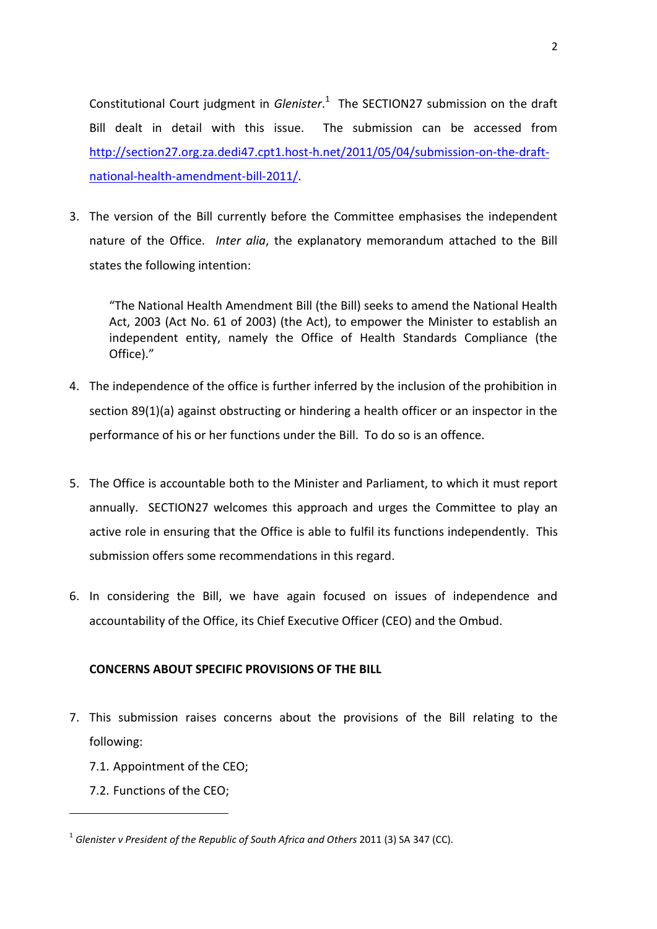Constitutional Court judgment in *Glenister*. 1 The SECTION27 submission on the draft Bill dealt in detail with this issue. The submission can be accessed from [http://section27.org.za.dedi47.cpt1.host-h.net/2011/05/04/submission-on-the-draft](http://section27.org.za.dedi47.cpt1.host-h.net/2011/05/04/submission-on-the-draft-national-health-amendment-bill-2011/)[national-health-amendment-bill-2011/.](http://section27.org.za.dedi47.cpt1.host-h.net/2011/05/04/submission-on-the-draft-national-health-amendment-bill-2011/)

3. The version of the Bill currently before the Committee emphasises the independent nature of the Office. *Inter alia*, the explanatory memorandum attached to the Bill states the following intention:

"The National Health Amendment Bill (the Bill) seeks to amend the National Health Act, 2003 (Act No. 61 of 2003) (the Act), to empower the Minister to establish an independent entity, namely the Office of Health Standards Compliance (the Office)."

- 4. The independence of the office is further inferred by the inclusion of the prohibition in section 89(1)(a) against obstructing or hindering a health officer or an inspector in the performance of his or her functions under the Bill. To do so is an offence.
- 5. The Office is accountable both to the Minister and Parliament, to which it must report annually. SECTION27 welcomes this approach and urges the Committee to play an active role in ensuring that the Office is able to fulfil its functions independently. This submission offers some recommendations in this regard.
- 6. In considering the Bill, we have again focused on issues of independence and accountability of the Office, its Chief Executive Officer (CEO) and the Ombud.

# **CONCERNS ABOUT SPECIFIC PROVISIONS OF THE BILL**

- 7. This submission raises concerns about the provisions of the Bill relating to the following:
	- 7.1. Appointment of the CEO;
	- 7.2. Functions of the CEO;

1

<sup>1</sup> *Glenister v President of the Republic of South Africa and Others* 2011 (3) SA 347 (CC).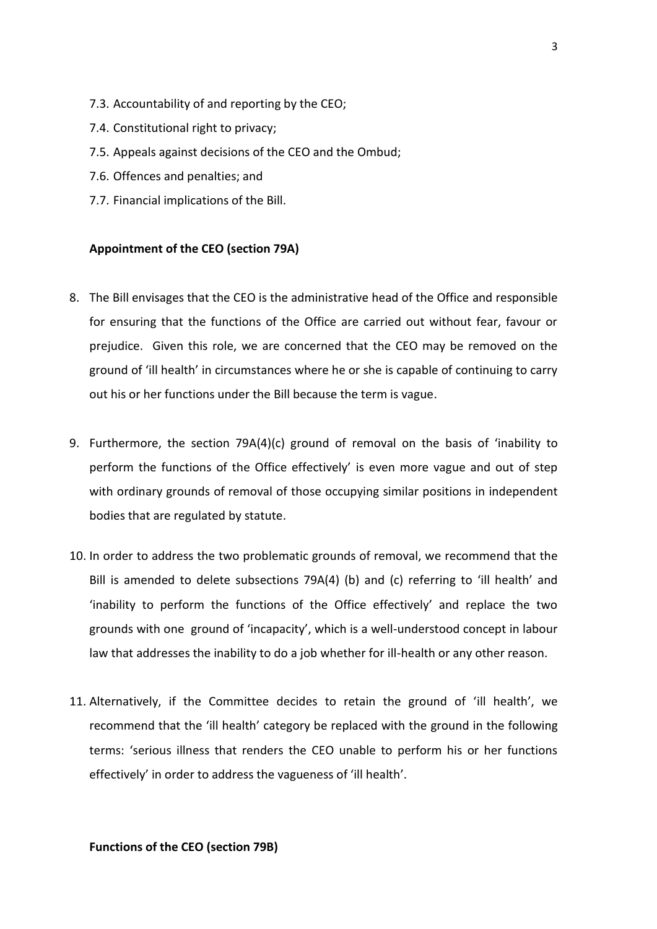- 7.3. Accountability of and reporting by the CEO;
- 7.4. Constitutional right to privacy;
- 7.5. Appeals against decisions of the CEO and the Ombud;
- 7.6. Offences and penalties; and
- 7.7. Financial implications of the Bill.

## **Appointment of the CEO (section 79A)**

- 8. The Bill envisages that the CEO is the administrative head of the Office and responsible for ensuring that the functions of the Office are carried out without fear, favour or prejudice. Given this role, we are concerned that the CEO may be removed on the ground of 'ill health' in circumstances where he or she is capable of continuing to carry out his or her functions under the Bill because the term is vague.
- 9. Furthermore, the section 79A(4)(c) ground of removal on the basis of 'inability to perform the functions of the Office effectively' is even more vague and out of step with ordinary grounds of removal of those occupying similar positions in independent bodies that are regulated by statute.
- 10. In order to address the two problematic grounds of removal, we recommend that the Bill is amended to delete subsections 79A(4) (b) and (c) referring to 'ill health' and 'inability to perform the functions of the Office effectively' and replace the two grounds with one ground of 'incapacity', which is a well-understood concept in labour law that addresses the inability to do a job whether for ill-health or any other reason.
- 11. Alternatively, if the Committee decides to retain the ground of 'ill health', we recommend that the 'ill health' category be replaced with the ground in the following terms: 'serious illness that renders the CEO unable to perform his or her functions effectively' in order to address the vagueness of 'ill health'.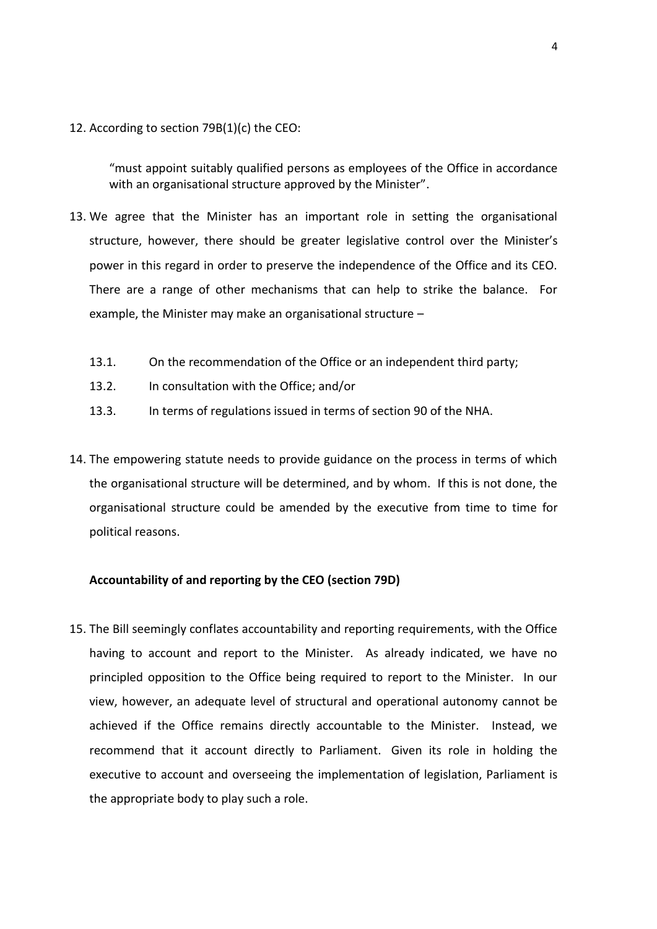12. According to section 79B(1)(c) the CEO:

"must appoint suitably qualified persons as employees of the Office in accordance with an organisational structure approved by the Minister".

- 13. We agree that the Minister has an important role in setting the organisational structure, however, there should be greater legislative control over the Minister's power in this regard in order to preserve the independence of the Office and its CEO. There are a range of other mechanisms that can help to strike the balance. For example, the Minister may make an organisational structure –
	- 13.1. On the recommendation of the Office or an independent third party;
	- 13.2. In consultation with the Office; and/or
	- 13.3. In terms of regulations issued in terms of section 90 of the NHA.
- 14. The empowering statute needs to provide guidance on the process in terms of which the organisational structure will be determined, and by whom. If this is not done, the organisational structure could be amended by the executive from time to time for political reasons.

## **Accountability of and reporting by the CEO (section 79D)**

15. The Bill seemingly conflates accountability and reporting requirements, with the Office having to account and report to the Minister. As already indicated, we have no principled opposition to the Office being required to report to the Minister. In our view, however, an adequate level of structural and operational autonomy cannot be achieved if the Office remains directly accountable to the Minister. Instead, we recommend that it account directly to Parliament. Given its role in holding the executive to account and overseeing the implementation of legislation, Parliament is the appropriate body to play such a role.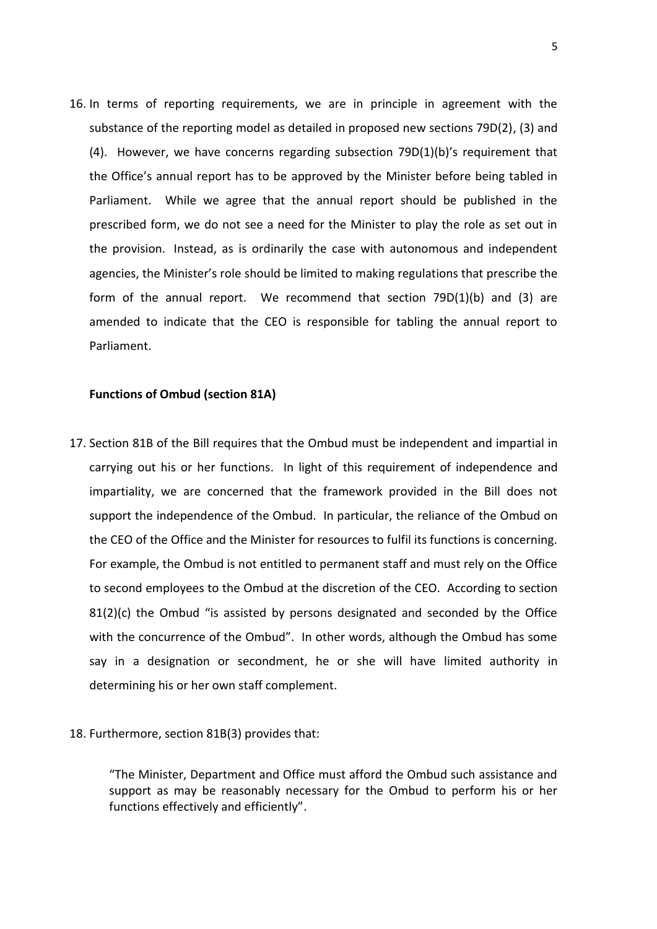16. In terms of reporting requirements, we are in principle in agreement with the substance of the reporting model as detailed in proposed new sections 79D(2), (3) and (4). However, we have concerns regarding subsection 79D(1)(b)'s requirement that the Office's annual report has to be approved by the Minister before being tabled in Parliament. While we agree that the annual report should be published in the prescribed form, we do not see a need for the Minister to play the role as set out in the provision. Instead, as is ordinarily the case with autonomous and independent agencies, the Minister's role should be limited to making regulations that prescribe the form of the annual report. We recommend that section 79D(1)(b) and (3) are amended to indicate that the CEO is responsible for tabling the annual report to Parliament.

### **Functions of Ombud (section 81A)**

- 17. Section 81B of the Bill requires that the Ombud must be independent and impartial in carrying out his or her functions. In light of this requirement of independence and impartiality, we are concerned that the framework provided in the Bill does not support the independence of the Ombud. In particular, the reliance of the Ombud on the CEO of the Office and the Minister for resources to fulfil its functions is concerning. For example, the Ombud is not entitled to permanent staff and must rely on the Office to second employees to the Ombud at the discretion of the CEO. According to section  $81(2)(c)$  the Ombud "is assisted by persons designated and seconded by the Office with the concurrence of the Ombud". In other words, although the Ombud has some say in a designation or secondment, he or she will have limited authority in determining his or her own staff complement.
- 18. Furthermore, section 81B(3) provides that:

"The Minister, Department and Office must afford the Ombud such assistance and support as may be reasonably necessary for the Ombud to perform his or her functions effectively and efficiently".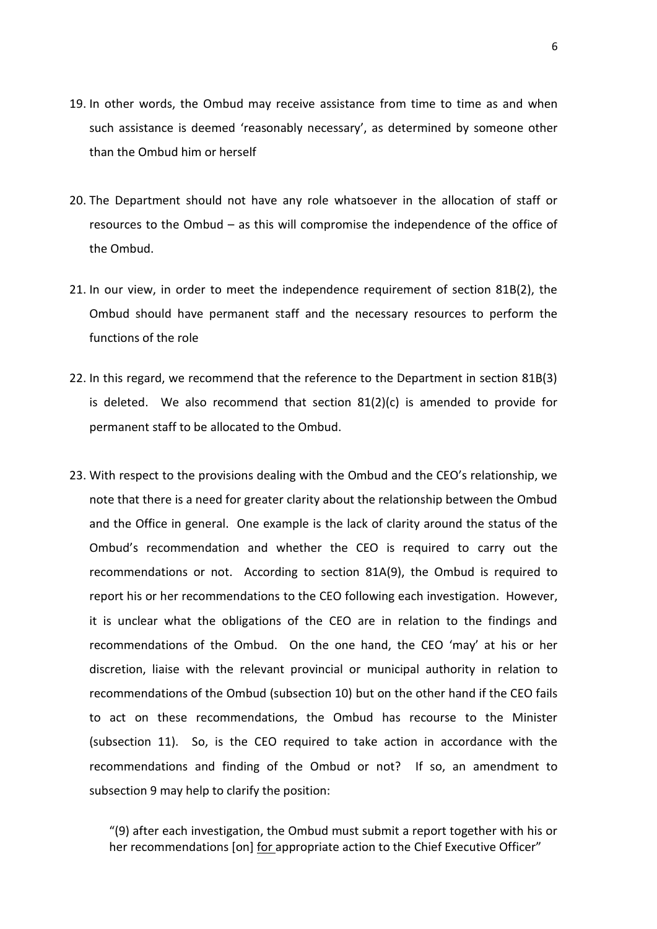- 19. In other words, the Ombud may receive assistance from time to time as and when such assistance is deemed 'reasonably necessary', as determined by someone other than the Ombud him or herself
- 20. The Department should not have any role whatsoever in the allocation of staff or resources to the Ombud – as this will compromise the independence of the office of the Ombud.
- 21. In our view, in order to meet the independence requirement of section 81B(2), the Ombud should have permanent staff and the necessary resources to perform the functions of the role
- 22. In this regard, we recommend that the reference to the Department in section 81B(3) is deleted. We also recommend that section  $81(2)(c)$  is amended to provide for permanent staff to be allocated to the Ombud.
- 23. With respect to the provisions dealing with the Ombud and the CEO's relationship, we note that there is a need for greater clarity about the relationship between the Ombud and the Office in general. One example is the lack of clarity around the status of the Ombud's recommendation and whether the CEO is required to carry out the recommendations or not. According to section 81A(9), the Ombud is required to report his or her recommendations to the CEO following each investigation. However, it is unclear what the obligations of the CEO are in relation to the findings and recommendations of the Ombud. On the one hand, the CEO 'may' at his or her discretion, liaise with the relevant provincial or municipal authority in relation to recommendations of the Ombud (subsection 10) but on the other hand if the CEO fails to act on these recommendations, the Ombud has recourse to the Minister (subsection 11). So, is the CEO required to take action in accordance with the recommendations and finding of the Ombud or not? If so, an amendment to subsection 9 may help to clarify the position:

"(9) after each investigation, the Ombud must submit a report together with his or her recommendations [on] for appropriate action to the Chief Executive Officer"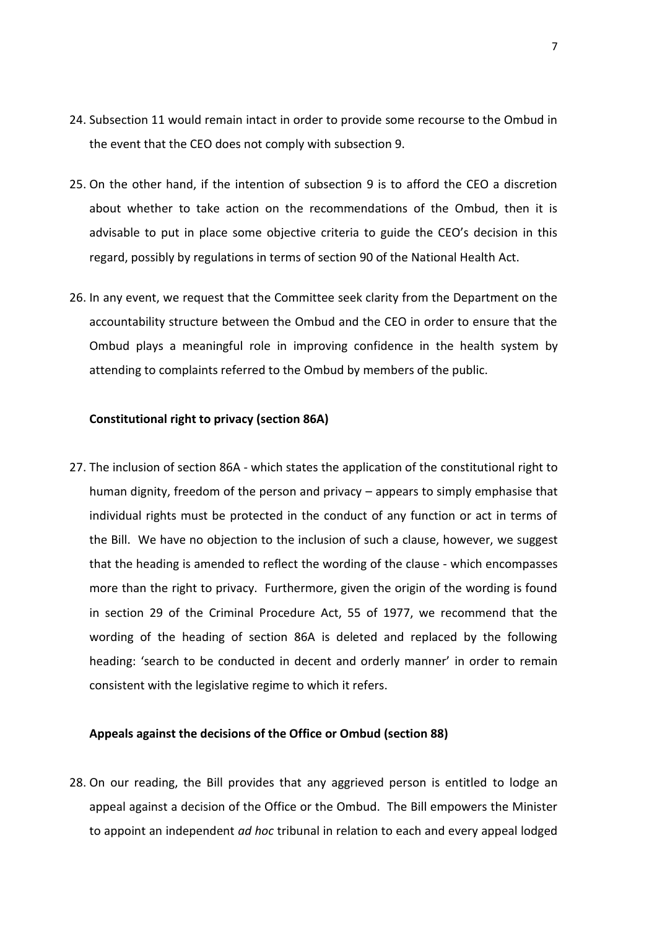- 24. Subsection 11 would remain intact in order to provide some recourse to the Ombud in the event that the CEO does not comply with subsection 9.
- 25. On the other hand, if the intention of subsection 9 is to afford the CEO a discretion about whether to take action on the recommendations of the Ombud, then it is advisable to put in place some objective criteria to guide the CEO's decision in this regard, possibly by regulations in terms of section 90 of the National Health Act.
- 26. In any event, we request that the Committee seek clarity from the Department on the accountability structure between the Ombud and the CEO in order to ensure that the Ombud plays a meaningful role in improving confidence in the health system by attending to complaints referred to the Ombud by members of the public.

## **Constitutional right to privacy (section 86A)**

27. The inclusion of section 86A - which states the application of the constitutional right to human dignity, freedom of the person and privacy – appears to simply emphasise that individual rights must be protected in the conduct of any function or act in terms of the Bill. We have no objection to the inclusion of such a clause, however, we suggest that the heading is amended to reflect the wording of the clause - which encompasses more than the right to privacy. Furthermore, given the origin of the wording is found in section 29 of the Criminal Procedure Act, 55 of 1977, we recommend that the wording of the heading of section 86A is deleted and replaced by the following heading: 'search to be conducted in decent and orderly manner' in order to remain consistent with the legislative regime to which it refers.

#### **Appeals against the decisions of the Office or Ombud (section 88)**

28. On our reading, the Bill provides that any aggrieved person is entitled to lodge an appeal against a decision of the Office or the Ombud. The Bill empowers the Minister to appoint an independent *ad hoc* tribunal in relation to each and every appeal lodged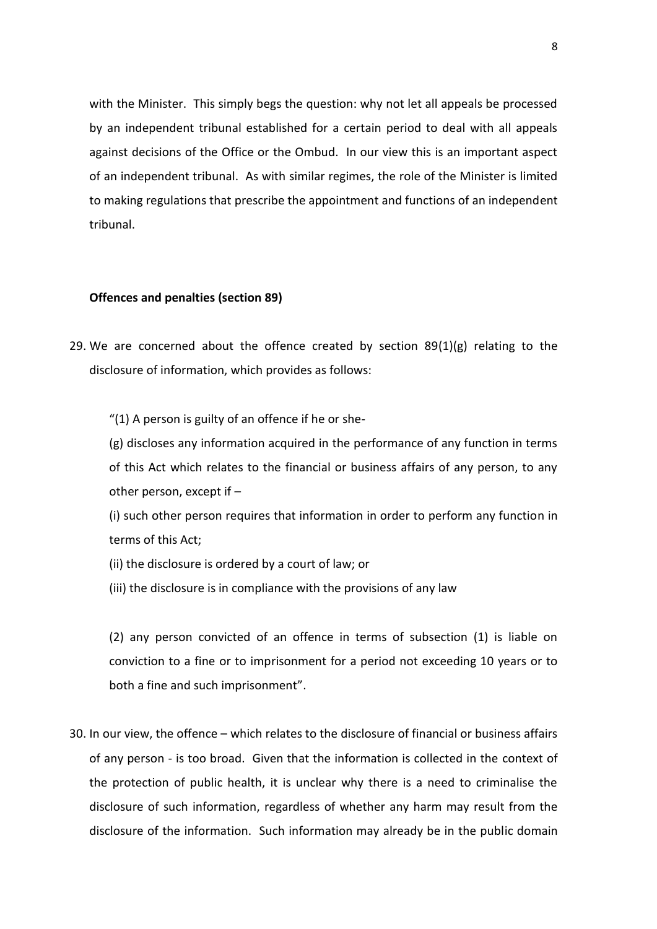with the Minister. This simply begs the question: why not let all appeals be processed by an independent tribunal established for a certain period to deal with all appeals against decisions of the Office or the Ombud. In our view this is an important aspect of an independent tribunal. As with similar regimes, the role of the Minister is limited to making regulations that prescribe the appointment and functions of an independent tribunal.

### **Offences and penalties (section 89)**

29. We are concerned about the offence created by section  $89(1)(g)$  relating to the disclosure of information, which provides as follows:

"(1) A person is guilty of an offence if he or she-

(g) discloses any information acquired in the performance of any function in terms of this Act which relates to the financial or business affairs of any person, to any other person, except if –

(i) such other person requires that information in order to perform any function in terms of this Act;

(ii) the disclosure is ordered by a court of law; or

(iii) the disclosure is in compliance with the provisions of any law

(2) any person convicted of an offence in terms of subsection (1) is liable on conviction to a fine or to imprisonment for a period not exceeding 10 years or to both a fine and such imprisonment".

30. In our view, the offence – which relates to the disclosure of financial or business affairs of any person - is too broad. Given that the information is collected in the context of the protection of public health, it is unclear why there is a need to criminalise the disclosure of such information, regardless of whether any harm may result from the disclosure of the information. Such information may already be in the public domain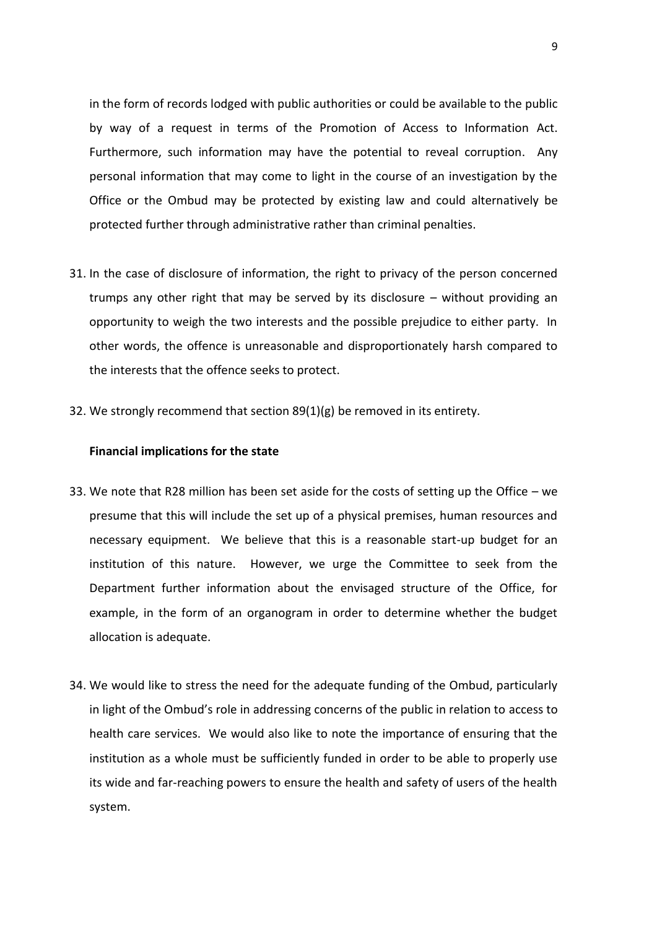in the form of records lodged with public authorities or could be available to the public by way of a request in terms of the Promotion of Access to Information Act. Furthermore, such information may have the potential to reveal corruption. Any personal information that may come to light in the course of an investigation by the Office or the Ombud may be protected by existing law and could alternatively be protected further through administrative rather than criminal penalties.

- 31. In the case of disclosure of information, the right to privacy of the person concerned trumps any other right that may be served by its disclosure – without providing an opportunity to weigh the two interests and the possible prejudice to either party. In other words, the offence is unreasonable and disproportionately harsh compared to the interests that the offence seeks to protect.
- 32. We strongly recommend that section 89(1)(g) be removed in its entirety.

#### **Financial implications for the state**

- 33. We note that R28 million has been set aside for the costs of setting up the Office we presume that this will include the set up of a physical premises, human resources and necessary equipment. We believe that this is a reasonable start-up budget for an institution of this nature. However, we urge the Committee to seek from the Department further information about the envisaged structure of the Office, for example, in the form of an organogram in order to determine whether the budget allocation is adequate.
- 34. We would like to stress the need for the adequate funding of the Ombud, particularly in light of the Ombud's role in addressing concerns of the public in relation to access to health care services. We would also like to note the importance of ensuring that the institution as a whole must be sufficiently funded in order to be able to properly use its wide and far-reaching powers to ensure the health and safety of users of the health system.